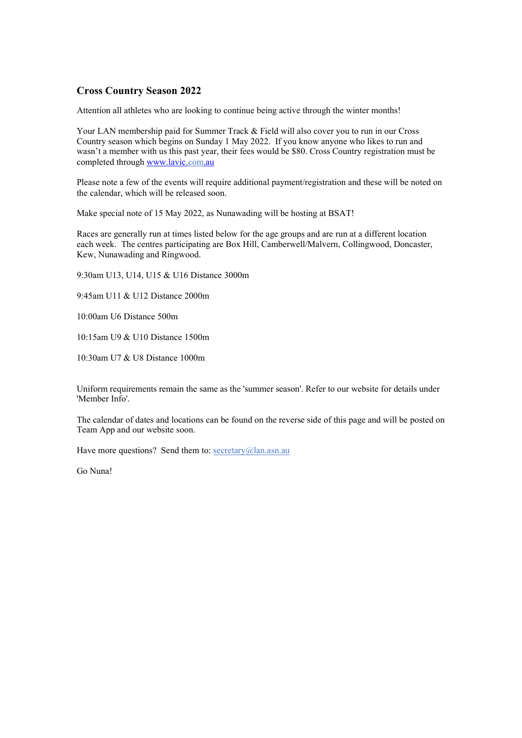## **Cross Country Season 2022**

Attention all athletes who are looking to continue being active through the winter months!

Your LAN membership paid for Summer Track & Field will also cover you to run in our Cross Country season which begins on Sunday 1 May 2022. If you know anyone who likes to run and wasn't a member with us this past year, their fees would be \$80. Cross Country registration must be completed through [www.lavic.com.au](http://www.lavic.com.au/)

Please note a few of the events will require additional payment/registration and these will be noted on the calendar, which will be released soon.

Make special note of 15 May 2022, as Nunawading will be hosting at BSAT!

Races are generally run at times listed below for the age groups and are run at a different location each week. The centres participating are Box Hill, Camberwell/Malvern, Collingwood, Doncaster, Kew, Nunawading and Ringwood.

9:30am U13, U14, U15 & U16 Distance 3000m

9:45am U11 & U12 Distance 2000m

10:00am U6 Distance 500m

10:15am U9 & U10 Distance 1500m

10:30am U7 & U8 Distance 1000m

Uniform requirements remain the same as the 'summer season'. Refer to our website for details under 'Member Info'.

The calendar of dates and locations can be found on the reverse side of this page and will be posted on Team App and our website soon.

Have more questions? Send them to: [secretary@lan.asn.au](mailto:secretary@lan.asn.au)

Go Nuna!